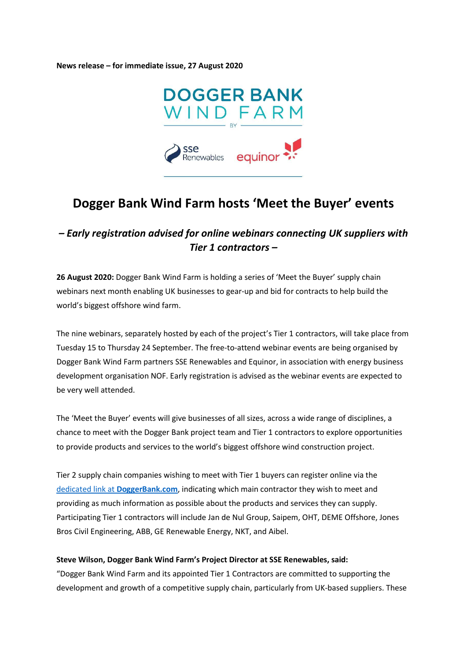News release – for immediate issue, 27 August 2020



# Dogger Bank Wind Farm hosts 'Meet the Buyer' events

# – Early registration advised for online webinars connecting UK suppliers with Tier 1 contractors –

26 August 2020: Dogger Bank Wind Farm is holding a series of 'Meet the Buyer' supply chain webinars next month enabling UK businesses to gear-up and bid for contracts to help build the world's biggest offshore wind farm.

The nine webinars, separately hosted by each of the project's Tier 1 contractors, will take place from Tuesday 15 to Thursday 24 September. The free-to-attend webinar events are being organised by Dogger Bank Wind Farm partners SSE Renewables and Equinor, in association with energy business development organisation NOF. Early registration is advised as the webinar events are expected to be very well attended.

The 'Meet the Buyer' events will give businesses of all sizes, across a wide range of disciplines, a chance to meet with the Dogger Bank project team and Tier 1 contractors to explore opportunities to provide products and services to the world's biggest offshore wind construction project.

Tier 2 supply chain companies wishing to meet with Tier 1 buyers can register online via the dedicated link at DoggerBank.com, indicating which main contractor they wish to meet and providing as much information as possible about the products and services they can supply. Participating Tier 1 contractors will include Jan de Nul Group, Saipem, OHT, DEME Offshore, Jones Bros Civil Engineering, ABB, GE Renewable Energy, NKT, and Aibel.

### Steve Wilson, Dogger Bank Wind Farm's Project Director at SSE Renewables, said:

"Dogger Bank Wind Farm and its appointed Tier 1 Contractors are committed to supporting the development and growth of a competitive supply chain, particularly from UK-based suppliers. These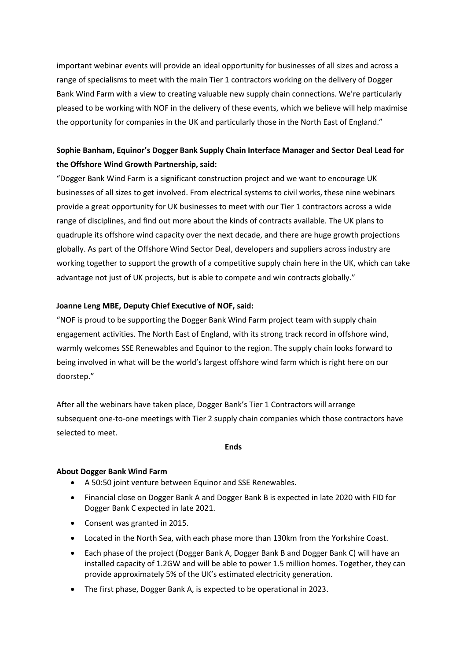important webinar events will provide an ideal opportunity for businesses of all sizes and across a range of specialisms to meet with the main Tier 1 contractors working on the delivery of Dogger Bank Wind Farm with a view to creating valuable new supply chain connections. We're particularly pleased to be working with NOF in the delivery of these events, which we believe will help maximise the opportunity for companies in the UK and particularly those in the North East of England."

# Sophie Banham, Equinor's Dogger Bank Supply Chain Interface Manager and Sector Deal Lead for the Offshore Wind Growth Partnership, said:

"Dogger Bank Wind Farm is a significant construction project and we want to encourage UK businesses of all sizes to get involved. From electrical systems to civil works, these nine webinars provide a great opportunity for UK businesses to meet with our Tier 1 contractors across a wide range of disciplines, and find out more about the kinds of contracts available. The UK plans to quadruple its offshore wind capacity over the next decade, and there are huge growth projections globally. As part of the Offshore Wind Sector Deal, developers and suppliers across industry are working together to support the growth of a competitive supply chain here in the UK, which can take advantage not just of UK projects, but is able to compete and win contracts globally."

## Joanne Leng MBE, Deputy Chief Executive of NOF, said:

"NOF is proud to be supporting the Dogger Bank Wind Farm project team with supply chain engagement activities. The North East of England, with its strong track record in offshore wind, warmly welcomes SSE Renewables and Equinor to the region. The supply chain looks forward to being involved in what will be the world's largest offshore wind farm which is right here on our doorstep."

After all the webinars have taken place, Dogger Bank's Tier 1 Contractors will arrange subsequent one-to-one meetings with Tier 2 supply chain companies which those contractors have selected to meet.

#### **Ends**

### About Dogger Bank Wind Farm

- A 50:50 joint venture between Equinor and SSE Renewables.
- Financial close on Dogger Bank A and Dogger Bank B is expected in late 2020 with FID for Dogger Bank C expected in late 2021.
- Consent was granted in 2015.
- Located in the North Sea, with each phase more than 130km from the Yorkshire Coast.
- Each phase of the project (Dogger Bank A, Dogger Bank B and Dogger Bank C) will have an installed capacity of 1.2GW and will be able to power 1.5 million homes. Together, they can provide approximately 5% of the UK's estimated electricity generation.
- The first phase, Dogger Bank A, is expected to be operational in 2023.